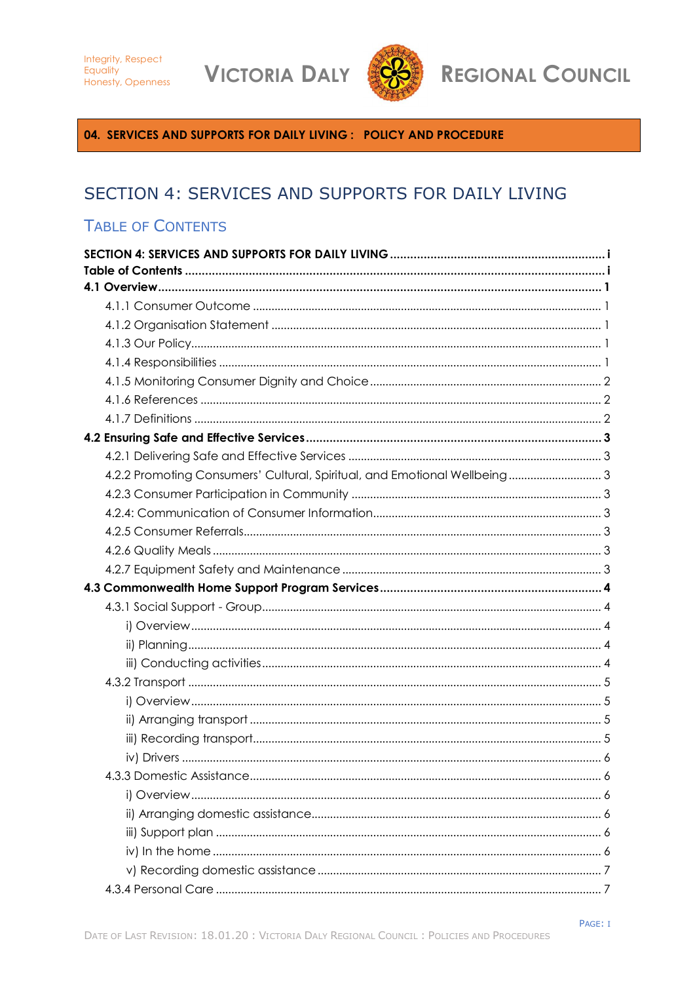**VICTORIA DALY** 



**REGIONAL COUNCIL** 

<span id="page-0-0"></span>04. SERVICES AND SUPPORTS FOR DAILY LIVING : POLICY AND PROCEDURE

# SECTION 4: SERVICES AND SUPPORTS FOR DAILY LIVING

# <span id="page-0-1"></span>**TABLE OF CONTENTS**

| 4.2.2 Promoting Consumers' Cultural, Spiritual, and Emotional Wellbeing 3 |  |
|---------------------------------------------------------------------------|--|
|                                                                           |  |
|                                                                           |  |
|                                                                           |  |
|                                                                           |  |
|                                                                           |  |
|                                                                           |  |
|                                                                           |  |
|                                                                           |  |
|                                                                           |  |
|                                                                           |  |
|                                                                           |  |
|                                                                           |  |
|                                                                           |  |
|                                                                           |  |
|                                                                           |  |
|                                                                           |  |
|                                                                           |  |
|                                                                           |  |
|                                                                           |  |
|                                                                           |  |
|                                                                           |  |
|                                                                           |  |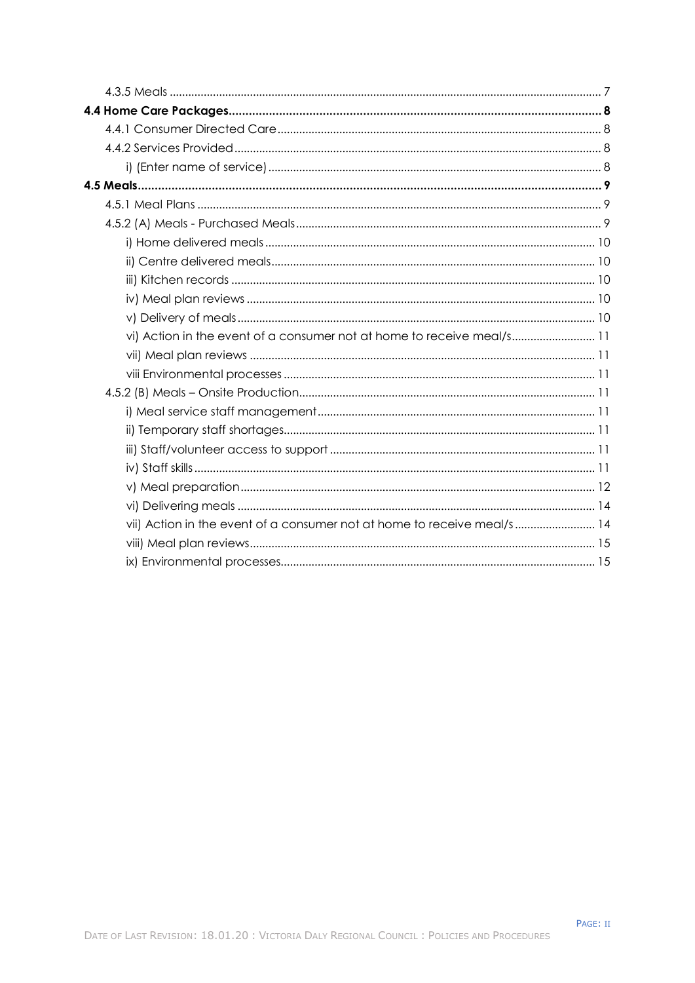| vi) Action in the event of a consumer not at home to receive meal/s 11  |  |
|-------------------------------------------------------------------------|--|
|                                                                         |  |
|                                                                         |  |
|                                                                         |  |
|                                                                         |  |
|                                                                         |  |
|                                                                         |  |
|                                                                         |  |
|                                                                         |  |
|                                                                         |  |
| vii) Action in the event of a consumer not at home to receive meal/s 14 |  |
|                                                                         |  |
|                                                                         |  |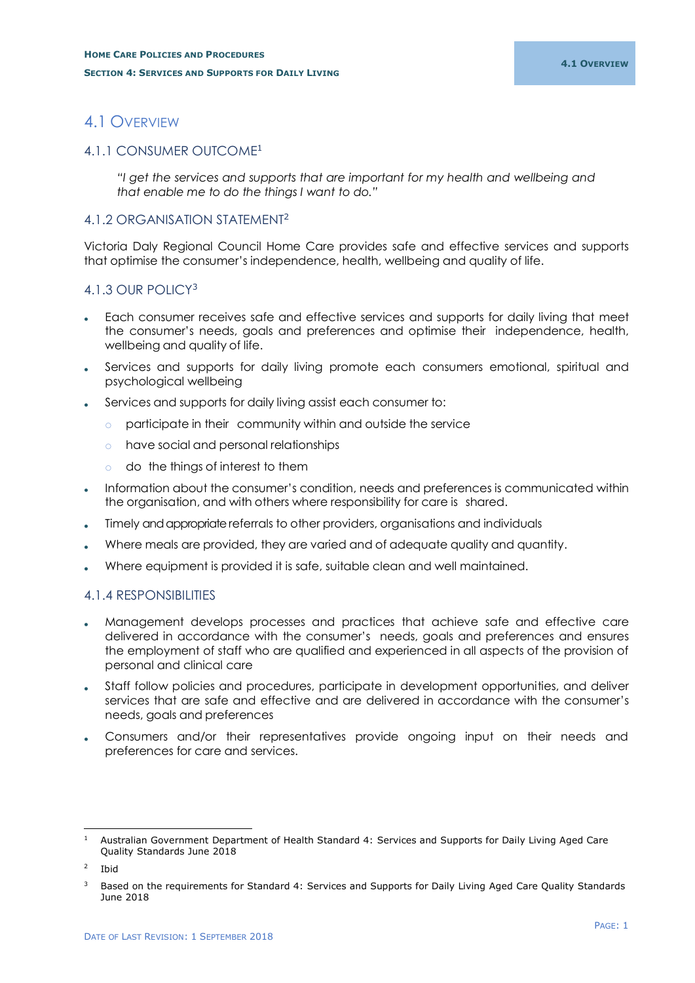# <span id="page-2-0"></span>4.1 OVERVIEW

# <span id="page-2-1"></span>4.1.1 CONSUMER OUTCOME<sup>1</sup>

*"I get the services and supports that are important for my health and wellbeing and that enable me to do the things I want to do."*

# <span id="page-2-2"></span>4.1.2 ORGANISATION STATEMENT<sup>2</sup>

Victoria Daly Regional Council Home Care provides safe and effective services and supports that optimise the consumer's independence, health, wellbeing and quality of life.

# <span id="page-2-3"></span>4.1.3 OUR POLICY<sup>3</sup>

- Each consumer receives safe and effective services and supports for daily living that meet the consumer's needs, goals and preferences and optimise their independence, health, wellbeing and quality of life.
- Services and supports for daily living promote each consumers emotional, spiritual and psychological wellbeing
- Services and supports for daily living assist each consumer to:
	- o participate in their community within and outside the service
	- o have social and personal relationships
	- o do the things of interest to them
- Information about the consumer's condition, needs and preferences is communicated within the organisation, and with others where responsibility for care is shared.
- Timely and appropriate referrals to other providers, organisations and individuals
- Where meals are provided, they are varied and of adequate quality and quantity.
- Where equipment is provided it is safe, suitable clean and well maintained.

# <span id="page-2-4"></span>4.1.4 RESPONSIBILITIES

- Management develops processes and practices that achieve safe and effective care delivered in accordance with the consumer's needs, goals and preferences and ensures the employment of staff who are qualified and experienced in all aspects of the provision of personal and clinical care
- Staff follow policies and procedures, participate in development opportunities, and deliver services that are safe and effective and are delivered in accordance with the consumer's needs, goals and preferences
- Consumers and/or their representatives provide ongoing input on their needs and preferences for care and services.

<sup>-</sup><sup>1</sup> Australian Government Department of Health Standard 4: Services and Supports for Daily Living Aged Care Quality Standards June 2018

 $\overline{2}$ Ibid

<sup>3</sup> Based on the requirements for Standard 4: Services and Supports for Daily Living Aged Care Quality Standards June 2018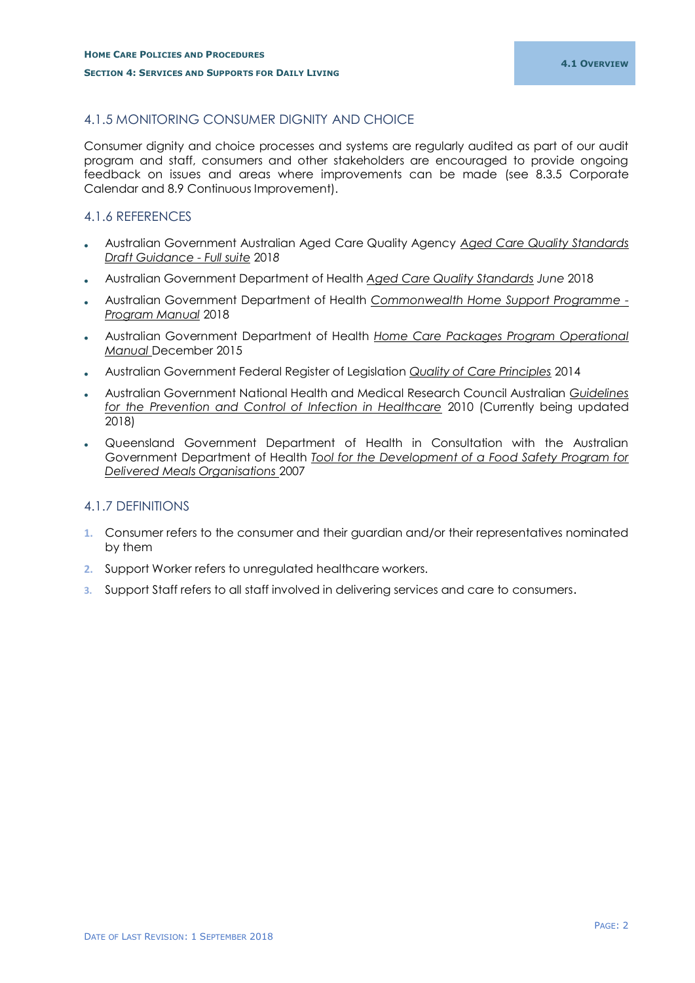# <span id="page-3-0"></span>4.1.5 MONITORING CONSUMER DIGNITY AND CHOICE

Consumer dignity and choice processes and systems are regularly audited as part of our audit program and staff, consumers and other stakeholders are encouraged to provide ongoing feedback on issues and areas where improvements can be made (see 8.3.5 Corporate Calendar and 8.9 Continuous Improvement).

# <span id="page-3-1"></span>4.1.6 REFERENCES

- Australian Government Australian Aged Care Quality Agency *Aged Care Quality Standards Draft Guidance - Full suite* 201*8*
- Australian Government Department of Health *Aged Care Quality Standards June* 2018
- Australian Government Department of Health *Commonwealth Home Support Programme - Program Manual* 2018
- Australian Government Department of Health *Home Care Packages Program Operational Manual* December 2015
- Australian Government Federal Register of Legislation *Quality of Care Principles* 2014
- Australian Government National Health and Medical Research Council Australian *Guidelines for the Prevention and Control of Infection in Healthcare* 2010 (Currently being updated 2018)
- Queensland Government Department of Health in Consultation with the Australian Government Department of Health *Tool for the Development of a Food Safety Program for Delivered Meals Organisations* 2007

# <span id="page-3-2"></span>4.1.7 DEFINITIONS

- **1.** Consumer refers to the consumer and their guardian and/or their representatives nominated by them
- **2.** Support Worker refers to unregulated healthcare workers.
- **3.** Support Staff refers to all staff involved in delivering services and care to consumers.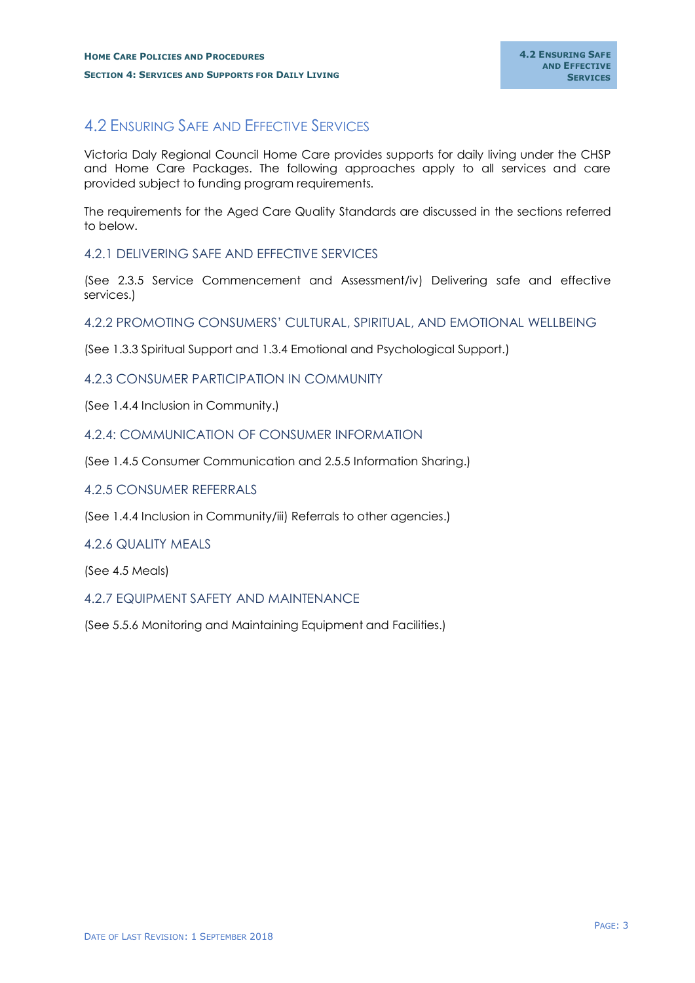# <span id="page-4-0"></span>4.2 ENSURING SAFE AND EFFECTIVE SERVICES

Victoria Daly Regional Council Home Care provides supports for daily living under the CHSP and Home Care Packages. The following approaches apply to all services and care provided subject to funding program requirements.

The requirements for the Aged Care Quality Standards are discussed in the sections referred to below.

## <span id="page-4-1"></span>4.2.1 DELIVERING SAFE AND EFFECTIVE SERVICES

(See 2.3.5 Service Commencement and Assessment/iv) Delivering safe and effective services.)

## <span id="page-4-2"></span>4.2.2 PROMOTING CONSUMERS' CULTURAL, SPIRITUAL, AND EMOTIONAL WELLBEING

(See 1.3.3 Spiritual Support and 1.3.4 Emotional and Psychological Support.)

## <span id="page-4-3"></span>4.2.3 CONSUMER PARTICIPATION IN COMMUNITY

(See 1.4.4 Inclusion in Community.)

## <span id="page-4-4"></span>4.2.4: COMMUNICATION OF CONSUMER INFORMATION

(See 1.4.5 Consumer Communication and 2.5.5 Information Sharing.)

## <span id="page-4-5"></span>4.2.5 CONSUMER REFERRALS

(See 1.4.4 Inclusion in Community/iii) Referrals to other agencies.)

## <span id="page-4-6"></span>4.2.6 QUALITY MEALS

(See 4.5 Meals)

## <span id="page-4-7"></span>4.2.7 EQUIPMENT SAFETY AND MAINTENANCE

(See 5.5.6 Monitoring and Maintaining Equipment and Facilities.)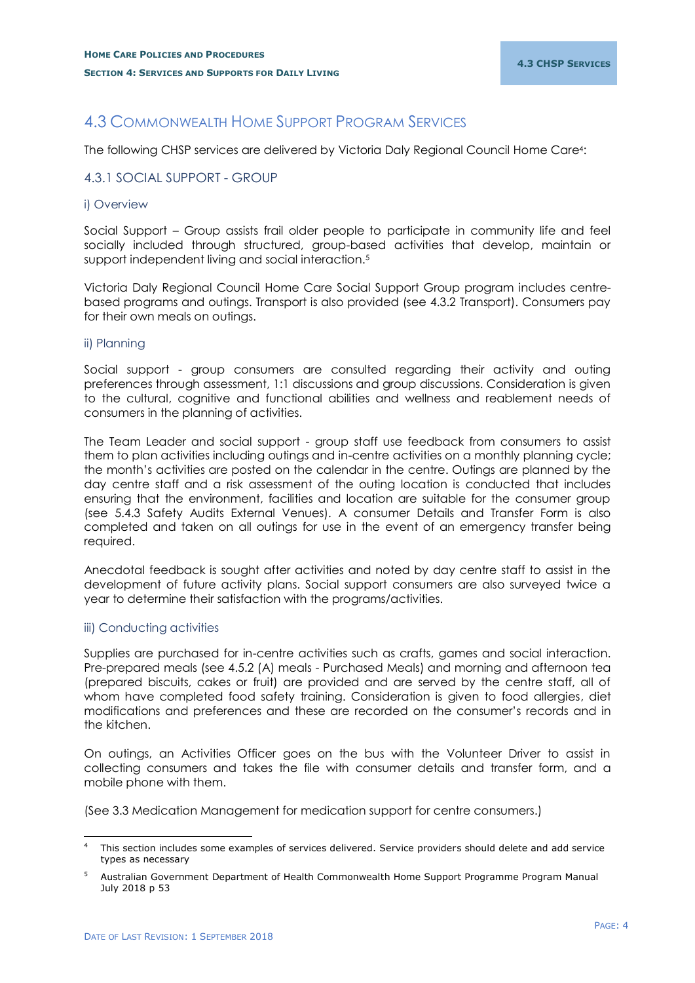# <span id="page-5-0"></span>4.3 COMMONWEALTH HOME SUPPORT PROGRAM SERVICES

The following CHSP services are delivered by Victoria Daly Regional Council Home Care4:

## <span id="page-5-1"></span>4.3.1 SOCIAL SUPPORT - GROUP

## <span id="page-5-2"></span>i) Overview

Social Support – Group assists frail older people to participate in community life and feel socially included through structured, group-based activities that develop, maintain or support independent living and social interaction.<sup>5</sup>

Victoria Daly Regional Council Home Care Social Support Group program includes centrebased programs and outings. Transport is also provided (see 4.3.2 Transport). Consumers pay for their own meals on outings.

## <span id="page-5-3"></span>ii) Planning

Social support - group consumers are consulted regarding their activity and outing preferences through assessment, 1:1 discussions and group discussions. Consideration is given to the cultural, cognitive and functional abilities and wellness and reablement needs of consumers in the planning of activities.

The Team Leader and social support - group staff use feedback from consumers to assist them to plan activities including outings and in-centre activities on a monthly planning cycle; the month's activities are posted on the calendar in the centre. Outings are planned by the day centre staff and a risk assessment of the outing location is conducted that includes ensuring that the environment, facilities and location are suitable for the consumer group (see 5.4.3 Safety Audits External Venues). A consumer Details and Transfer Form is also completed and taken on all outings for use in the event of an emergency transfer being required.

Anecdotal feedback is sought after activities and noted by day centre staff to assist in the development of future activity plans. Social support consumers are also surveyed twice a year to determine their satisfaction with the programs/activities.

## <span id="page-5-4"></span>iii) Conducting activities

-

Supplies are purchased for in-centre activities such as crafts, games and social interaction. Pre-prepared meals (see 4.5.2 (A) meals - Purchased Meals) and morning and afternoon tea (prepared biscuits, cakes or fruit) are provided and are served by the centre staff, all of whom have completed food safety training. Consideration is given to food allergies, diet modifications and preferences and these are recorded on the consumer's records and in the kitchen.

On outings, an Activities Officer goes on the bus with the Volunteer Driver to assist in collecting consumers and takes the file with consumer details and transfer form, and a mobile phone with them.

(See 3.3 Medication Management for medication support for centre consumers.)

This section includes some examples of services delivered. Service providers should delete and add service types as necessary

<sup>5</sup> Australian Government Department of Health Commonwealth Home Support Programme Program Manual July 2018 p 53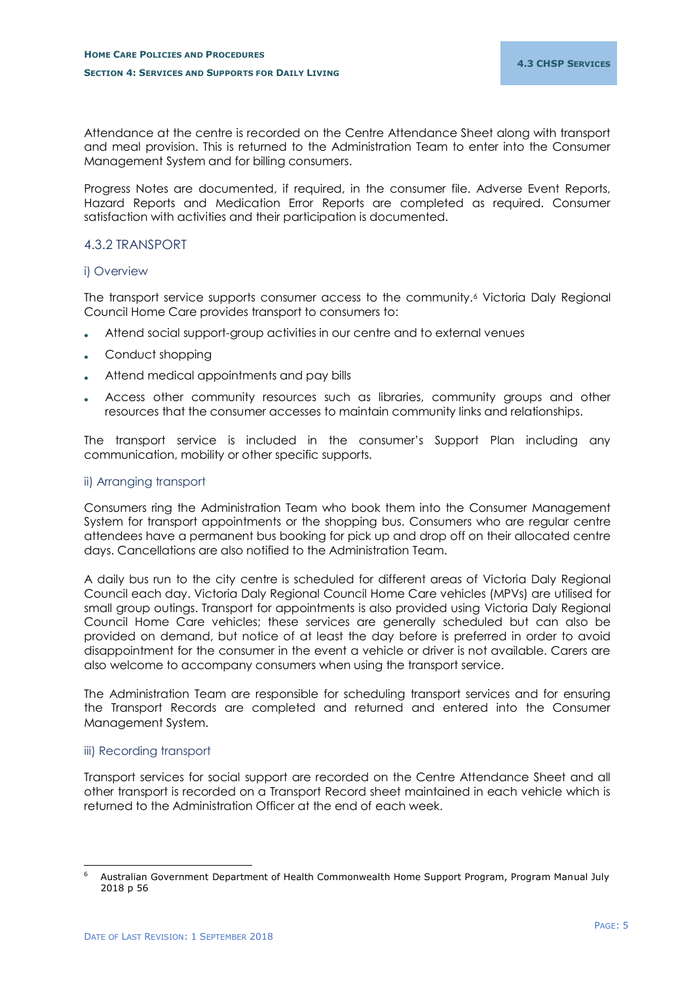Attendance at the centre is recorded on the Centre Attendance Sheet along with transport and meal provision. This is returned to the Administration Team to enter into the Consumer Management System and for billing consumers.

Progress Notes are documented, if required, in the consumer file. Adverse Event Reports, Hazard Reports and Medication Error Reports are completed as required. Consumer satisfaction with activities and their participation is documented.

## <span id="page-6-0"></span>4.3.2 TRANSPORT

## <span id="page-6-1"></span>i) Overview

The transport service supports consumer access to the community.<sup>6</sup> Victoria Daly Regional Council Home Care provides transport to consumers to:

- Attend social support-group activities in our centre and to external venues
- Conduct shopping
- Attend medical appointments and pay bills
- Access other community resources such as libraries, community groups and other resources that the consumer accesses to maintain community links and relationships.

The transport service is included in the consumer's Support Plan including any communication, mobility or other specific supports.

## <span id="page-6-2"></span>ii) Arranging transport

Consumers ring the Administration Team who book them into the Consumer Management System for transport appointments or the shopping bus. Consumers who are regular centre attendees have a permanent bus booking for pick up and drop off on their allocated centre days. Cancellations are also notified to the Administration Team.

A daily bus run to the city centre is scheduled for different areas of Victoria Daly Regional Council each day. Victoria Daly Regional Council Home Care vehicles (MPVs) are utilised for small group outings. Transport for appointments is also provided using Victoria Daly Regional Council Home Care vehicles; these services are generally scheduled but can also be provided on demand, but notice of at least the day before is preferred in order to avoid disappointment for the consumer in the event a vehicle or driver is not available. Carers are also welcome to accompany consumers when using the transport service.

The Administration Team are responsible for scheduling transport services and for ensuring the Transport Records are completed and returned and entered into the Consumer Management System.

## <span id="page-6-3"></span>iii) Recording transport

Transport services for social support are recorded on the Centre Attendance Sheet and all other transport is recorded on a Transport Record sheet maintained in each vehicle which is returned to the Administration Officer at the end of each week.

<sup>-</sup><sup>6</sup> Australian Government Department of Health Commonwealth Home Support Program, Program Manual July 2018 p 56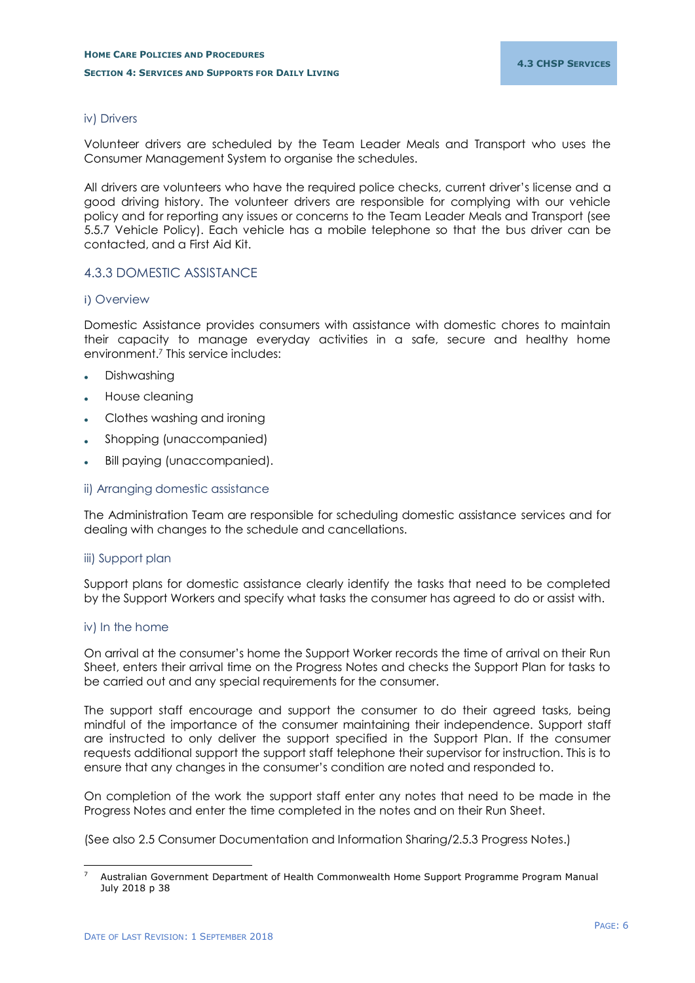## <span id="page-7-0"></span>iv) Drivers

Volunteer drivers are scheduled by the Team Leader Meals and Transport who uses the Consumer Management System to organise the schedules.

All drivers are volunteers who have the required police checks, current driver's license and a good driving history. The volunteer drivers are responsible for complying with our vehicle policy and for reporting any issues or concerns to the Team Leader Meals and Transport (see 5.5.7 Vehicle Policy). Each vehicle has a mobile telephone so that the bus driver can be contacted, and a First Aid Kit.

## <span id="page-7-1"></span>4.3.3 DOMESTIC ASSISTANCE

## <span id="page-7-2"></span>i) Overview

Domestic Assistance provides consumers with assistance with domestic chores to maintain their capacity to manage everyday activities in a safe, secure and healthy home environment.<sup>7</sup> This service includes:

- Dishwashing
- House cleaning
- Clothes washing and ironing
- Shopping (unaccompanied)
- Bill paying (unaccompanied).

### <span id="page-7-3"></span>ii) Arranging domestic assistance

The Administration Team are responsible for scheduling domestic assistance services and for dealing with changes to the schedule and cancellations.

## <span id="page-7-4"></span>iii) Support plan

Support plans for domestic assistance clearly identify the tasks that need to be completed by the Support Workers and specify what tasks the consumer has agreed to do or assist with.

## <span id="page-7-5"></span>iv) In the home

On arrival at the consumer's home the Support Worker records the time of arrival on their Run Sheet, enters their arrival time on the Progress Notes and checks the Support Plan for tasks to be carried out and any special requirements for the consumer.

The support staff encourage and support the consumer to do their agreed tasks, being mindful of the importance of the consumer maintaining their independence. Support staff are instructed to only deliver the support specified in the Support Plan. If the consumer requests additional support the support staff telephone their supervisor for instruction. This is to ensure that any changes in the consumer's condition are noted and responded to.

On completion of the work the support staff enter any notes that need to be made in the Progress Notes and enter the time completed in the notes and on their Run Sheet.

(See also 2.5 Consumer Documentation and Information Sharing/2.5.3 Progress Notes.)

<sup>-</sup><sup>7</sup> Australian Government Department of Health Commonwealth Home Support Programme Program Manual July 2018 p 38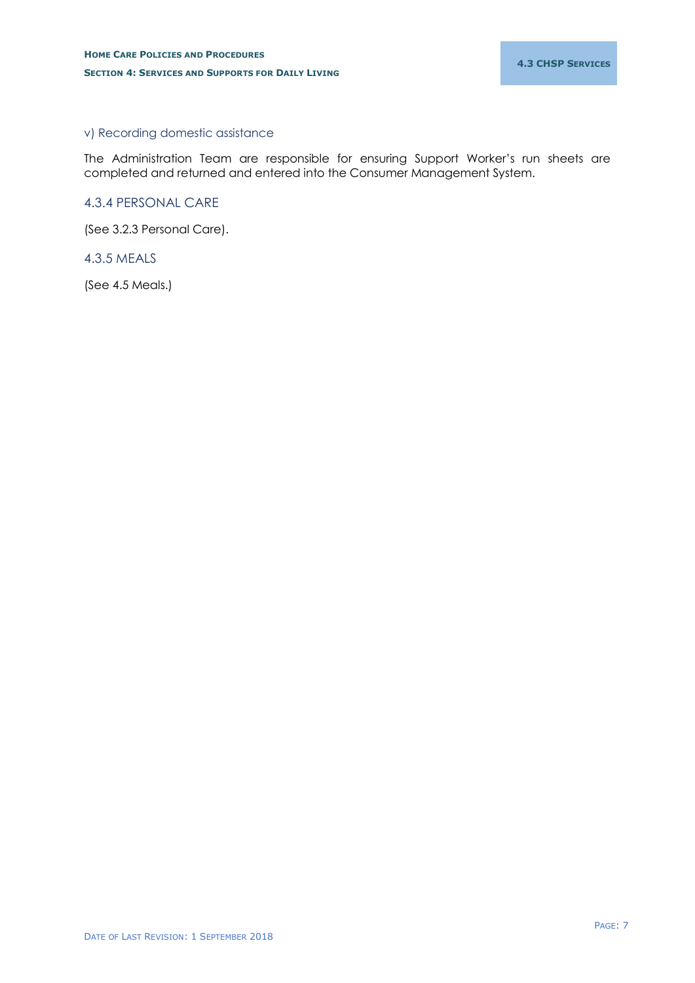## <span id="page-8-0"></span>v) Recording domestic assistance

The Administration Team are responsible for ensuring Support Worker's run sheets are completed and returned and entered into the Consumer Management System.

## <span id="page-8-1"></span>4.3.4 PERSONAL CARE

(See 3.2.3 Personal Care).

## <span id="page-8-2"></span>4.3.5 MEALS

(See 4.5 Meals.)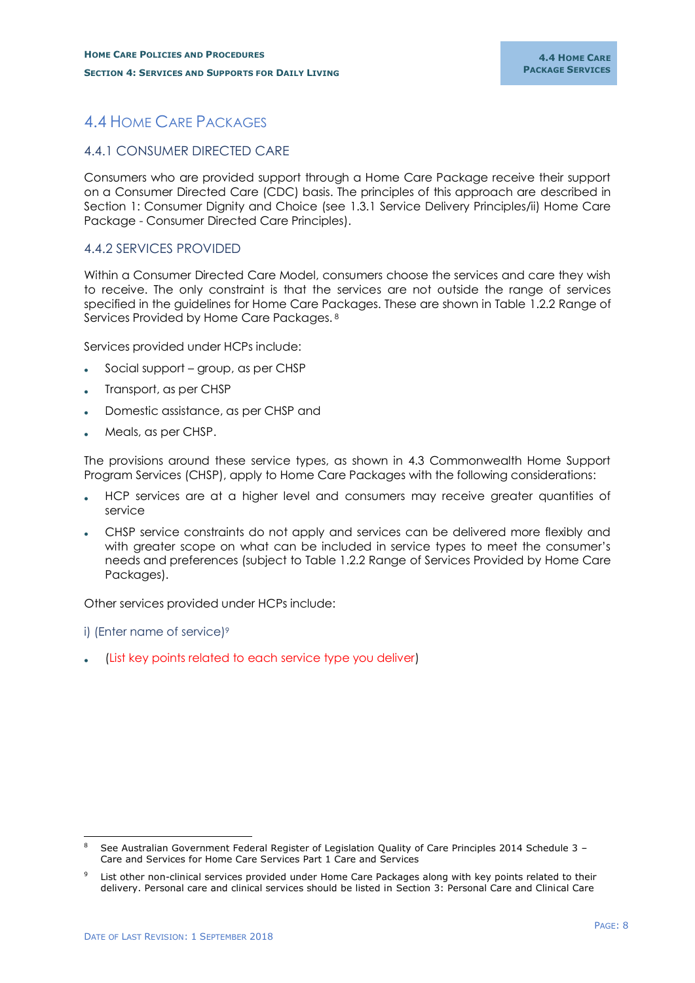# <span id="page-9-0"></span>4.4 HOME CARE PACKAGES

## <span id="page-9-1"></span>4.4.1 CONSUMER DIRECTED CARE

Consumers who are provided support through a Home Care Package receive their support on a Consumer Directed Care (CDC) basis. The principles of this approach are described in Section 1: Consumer Dignity and Choice (see 1.3.1 Service Delivery Principles/ii) Home Care Package - Consumer Directed Care Principles).

## <span id="page-9-2"></span>4.4.2 SERVICES PROVIDED

Within a Consumer Directed Care Model, consumers choose the services and care they wish to receive. The only constraint is that the services are not outside the range of services specified in the guidelines for Home Care Packages. These are shown in Table 1.2.2 Range of Services Provided by Home Care Packages. <sup>8</sup>

Services provided under HCPs include:

- Social support group, as per CHSP
- Transport, as per CHSP
- Domestic assistance, as per CHSP and
- Meals, as per CHSP.

The provisions around these service types, as shown in 4.3 Commonwealth Home Support Program Services (CHSP), apply to Home Care Packages with the following considerations:

- HCP services are at a higher level and consumers may receive greater quantities of service
- CHSP service constraints do not apply and services can be delivered more flexibly and with greater scope on what can be included in service types to meet the consumer's needs and preferences (subject to Table 1.2.2 Range of Services Provided by Home Care Packages).

Other services provided under HCPs include:

<span id="page-9-3"></span>i) (Enter name of service)<sup>9</sup>

-

(List key points related to each service type you deliver)

<sup>8</sup> See Australian Government Federal Register of Legislation Quality of Care Principles 2014 Schedule 3 – Care and Services for Home Care Services Part 1 Care and Services

List other non-clinical services provided under Home Care Packages along with key points related to their delivery. Personal care and clinical services should be listed in Section 3: Personal Care and Clinical Care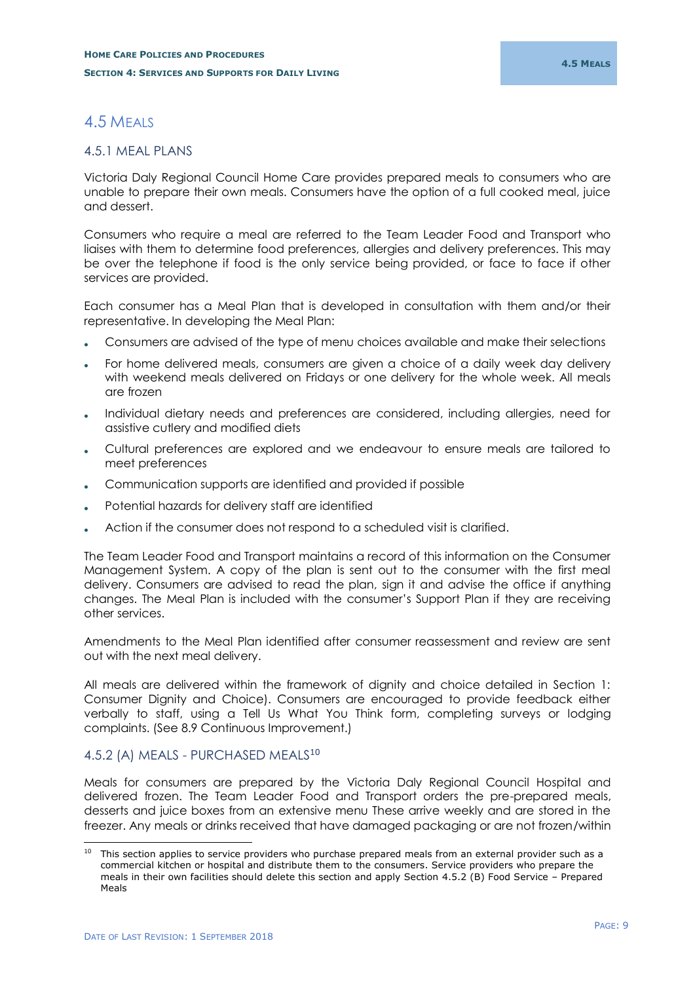# <span id="page-10-0"></span>4.5 MEALS

## <span id="page-10-1"></span>4.5.1 MEAL PLANS

Victoria Daly Regional Council Home Care provides prepared meals to consumers who are unable to prepare their own meals. Consumers have the option of a full cooked meal, juice and dessert.

Consumers who require a meal are referred to the Team Leader Food and Transport who liaises with them to determine food preferences, allergies and delivery preferences. This may be over the telephone if food is the only service being provided, or face to face if other services are provided.

Each consumer has a Meal Plan that is developed in consultation with them and/or their representative. In developing the Meal Plan:

- Consumers are advised of the type of menu choices available and make their selections
- For home delivered meals, consumers are given a choice of a daily week day delivery with weekend meals delivered on Fridays or one delivery for the whole week. All meals are frozen
- Individual dietary needs and preferences are considered, including allergies, need for assistive cutlery and modified diets
- Cultural preferences are explored and we endeavour to ensure meals are tailored to meet preferences
- Communication supports are identified and provided if possible
- Potential hazards for delivery staff are identified
- Action if the consumer does not respond to a scheduled visit is clarified.

The Team Leader Food and Transport maintains a record of this information on the Consumer Management System. A copy of the plan is sent out to the consumer with the first meal delivery. Consumers are advised to read the plan, sign it and advise the office if anything changes. The Meal Plan is included with the consumer's Support Plan if they are receiving other services.

Amendments to the Meal Plan identified after consumer reassessment and review are sent out with the next meal delivery.

All meals are delivered within the framework of dignity and choice detailed in Section 1: Consumer Dignity and Choice). Consumers are encouraged to provide feedback either verbally to staff, using a Tell Us What You Think form, completing surveys or lodging complaints. (See 8.9 Continuous Improvement.)

# <span id="page-10-2"></span>4.5.2 (A) MEALS - PURCHASED MEALS<sup>10</sup>

Meals for consumers are prepared by the Victoria Daly Regional Council Hospital and delivered frozen. The Team Leader Food and Transport orders the pre-prepared meals, desserts and juice boxes from an extensive menu These arrive weekly and are stored in the freezer. Any meals or drinks received that have damaged packaging or are not frozen/within

-

This section applies to service providers who purchase prepared meals from an external provider such as a commercial kitchen or hospital and distribute them to the consumers. Service providers who prepare the meals in their own facilities should delete this section and apply Section 4.5.2 (B) Food Service – Prepared Meals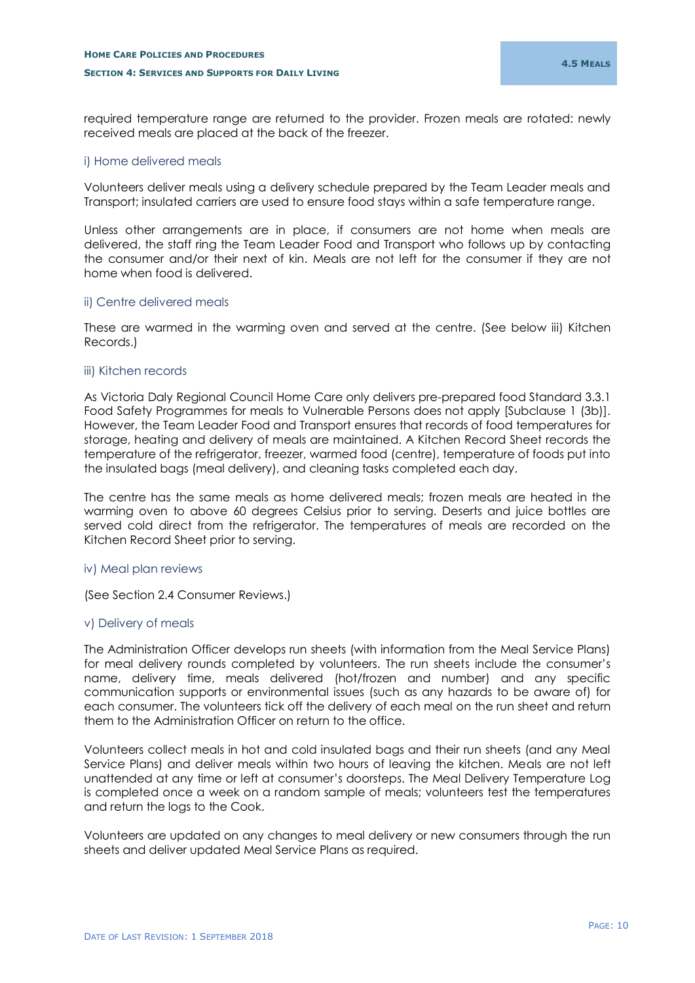required temperature range are returned to the provider. Frozen meals are rotated: newly received meals are placed at the back of the freezer.

## <span id="page-11-0"></span>i) Home delivered meals

Volunteers deliver meals using a delivery schedule prepared by the Team Leader meals and Transport; insulated carriers are used to ensure food stays within a safe temperature range.

Unless other arrangements are in place, if consumers are not home when meals are delivered, the staff ring the Team Leader Food and Transport who follows up by contacting the consumer and/or their next of kin. Meals are not left for the consumer if they are not home when food is delivered.

### <span id="page-11-1"></span>ii) Centre delivered meals

These are warmed in the warming oven and served at the centre. (See below iii) Kitchen Records.)

### <span id="page-11-2"></span>iii) Kitchen records

As Victoria Daly Regional Council Home Care only delivers pre-prepared food Standard 3.3.1 Food Safety Programmes for meals to Vulnerable Persons does not apply [Subclause 1 (3b)]. However, the Team Leader Food and Transport ensures that records of food temperatures for storage, heating and delivery of meals are maintained. A Kitchen Record Sheet records the temperature of the refrigerator, freezer, warmed food (centre), temperature of foods put into the insulated bags (meal delivery), and cleaning tasks completed each day.

The centre has the same meals as home delivered meals; frozen meals are heated in the warming oven to above 60 degrees Celsius prior to serving. Deserts and juice bottles are served cold direct from the refrigerator. The temperatures of meals are recorded on the Kitchen Record Sheet prior to serving.

## <span id="page-11-3"></span>iv) Meal plan reviews

(See Section 2.4 Consumer Reviews.)

## <span id="page-11-4"></span>v) Delivery of meals

The Administration Officer develops run sheets (with information from the Meal Service Plans) for meal delivery rounds completed by volunteers. The run sheets include the consumer's name, delivery time, meals delivered (hot/frozen and number) and any specific communication supports or environmental issues (such as any hazards to be aware of) for each consumer. The volunteers tick off the delivery of each meal on the run sheet and return them to the Administration Officer on return to the office.

Volunteers collect meals in hot and cold insulated bags and their run sheets (and any Meal Service Plans) and deliver meals within two hours of leaving the kitchen. Meals are not left unattended at any time or left at consumer's doorsteps. The Meal Delivery Temperature Log is completed once a week on a random sample of meals; volunteers test the temperatures and return the logs to the Cook.

Volunteers are updated on any changes to meal delivery or new consumers through the run sheets and deliver updated Meal Service Plans as required.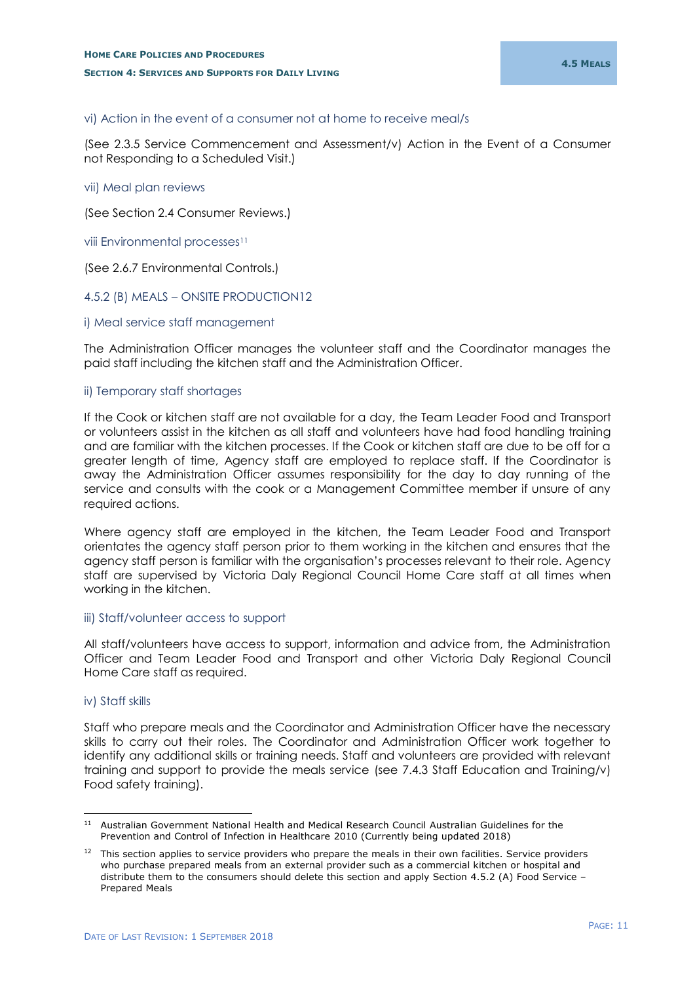## <span id="page-12-0"></span>vi) Action in the event of a consumer not at home to receive meal/s

(See 2.3.5 Service Commencement and Assessment/v) Action in the Event of a Consumer not Responding to a Scheduled Visit.)

### <span id="page-12-1"></span>vii) Meal plan reviews

(See Section 2.4 Consumer Reviews.)

<span id="page-12-2"></span>viii Environmental processes<sup>11</sup>

(See 2.6.7 Environmental Controls.)

### <span id="page-12-3"></span>4.5.2 (B) MEALS – ONSITE PRODUCTION12

#### <span id="page-12-4"></span>i) Meal service staff management

The Administration Officer manages the volunteer staff and the Coordinator manages the paid staff including the kitchen staff and the Administration Officer.

### <span id="page-12-5"></span>ii) Temporary staff shortages

If the Cook or kitchen staff are not available for a day, the Team Leader Food and Transport or volunteers assist in the kitchen as all staff and volunteers have had food handling training and are familiar with the kitchen processes. If the Cook or kitchen staff are due to be off for a greater length of time, Agency staff are employed to replace staff. If the Coordinator is away the Administration Officer assumes responsibility for the day to day running of the service and consults with the cook or a Management Committee member if unsure of any required actions.

Where agency staff are employed in the kitchen, the Team Leader Food and Transport orientates the agency staff person prior to them working in the kitchen and ensures that the agency staff person is familiar with the organisation's processes relevant to their role. Agency staff are supervised by Victoria Daly Regional Council Home Care staff at all times when working in the kitchen.

#### <span id="page-12-6"></span>iii) Staff/volunteer access to support

All staff/volunteers have access to support, information and advice from, the Administration Officer and Team Leader Food and Transport and other Victoria Daly Regional Council Home Care staff as required.

### <span id="page-12-7"></span>iv) Staff skills

Staff who prepare meals and the Coordinator and Administration Officer have the necessary skills to carry out their roles. The Coordinator and Administration Officer work together to identify any additional skills or training needs. Staff and volunteers are provided with relevant training and support to provide the meals service (see 7.4.3 Staff Education and Training/v) Food safety training).

<sup>-</sup><sup>11</sup> Australian Government National Health and Medical Research Council Australian Guidelines for the Prevention and Control of Infection in Healthcare 2010 (Currently being updated 2018)

This section applies to service providers who prepare the meals in their own facilities. Service providers who purchase prepared meals from an external provider such as a commercial kitchen or hospital and distribute them to the consumers should delete this section and apply Section 4.5.2 (A) Food Service – Prepared Meals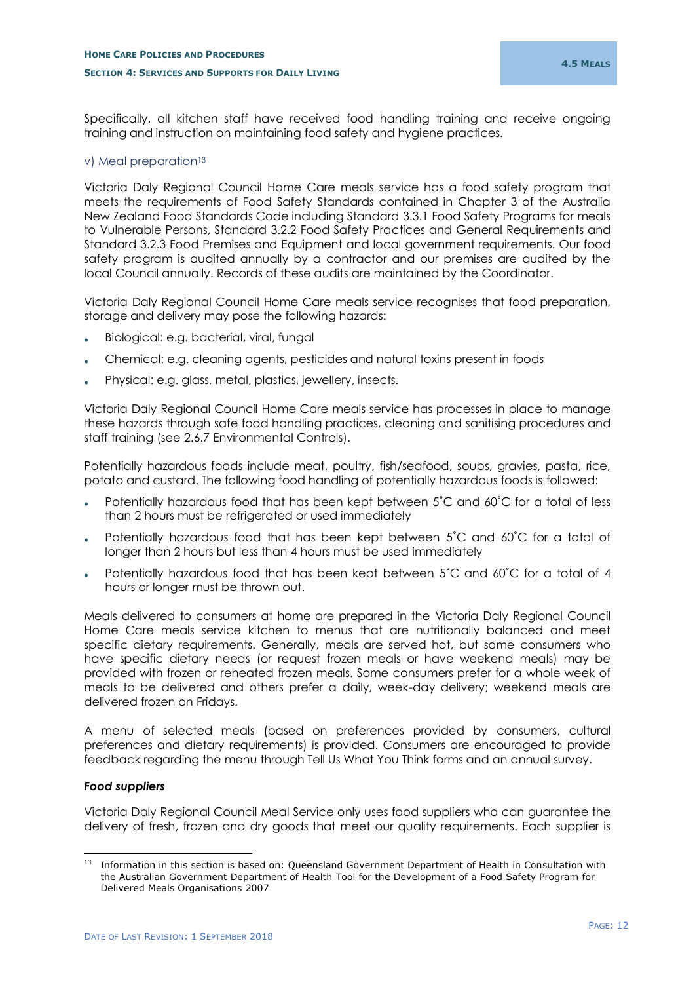Specifically, all kitchen staff have received food handling training and receive ongoing training and instruction on maintaining food safety and hygiene practices.

## <span id="page-13-0"></span>v) Meal preparation<sup>13</sup>

Victoria Daly Regional Council Home Care meals service has a food safety program that meets the requirements of Food Safety Standards contained in Chapter 3 of the Australia New Zealand Food Standards Code including Standard 3.3.1 Food Safety Programs for meals to Vulnerable Persons, Standard 3.2.2 Food Safety Practices and General Requirements and Standard 3.2.3 Food Premises and Equipment and local government requirements. Our food safety program is audited annually by a contractor and our premises are audited by the local Council annually. Records of these audits are maintained by the Coordinator.

Victoria Daly Regional Council Home Care meals service recognises that food preparation, storage and delivery may pose the following hazards:

- Biological: e.g. bacterial, viral, fungal
- Chemical: e.g. cleaning agents, pesticides and natural toxins present in foods
- Physical: e.g. glass, metal, plastics, jewellery, insects.

Victoria Daly Regional Council Home Care meals service has processes in place to manage these hazards through safe food handling practices, cleaning and sanitising procedures and staff training (see 2.6.7 Environmental Controls).

Potentially hazardous foods include meat, poultry, fish/seafood, soups, gravies, pasta, rice, potato and custard. The following food handling of potentially hazardous foods is followed:

- Potentially hazardous food that has been kept between 5˚C and 60˚C for a total of less than 2 hours must be refrigerated or used immediately
- Potentially hazardous food that has been kept between 5˚C and 60˚C for a total of longer than 2 hours but less than 4 hours must be used immediately
- Potentially hazardous food that has been kept between 5˚C and 60˚C for a total of 4 hours or longer must be thrown out.

Meals delivered to consumers at home are prepared in the Victoria Daly Regional Council Home Care meals service kitchen to menus that are nutritionally balanced and meet specific dietary requirements. Generally, meals are served hot, but some consumers who have specific dietary needs (or request frozen meals or have weekend meals) may be provided with frozen or reheated frozen meals. Some consumers prefer for a whole week of meals to be delivered and others prefer a daily, week-day delivery; weekend meals are delivered frozen on Fridays.

A menu of selected meals (based on preferences provided by consumers, cultural preferences and dietary requirements) is provided. Consumers are encouraged to provide feedback regarding the menu through Tell Us What You Think forms and an annual survey.

## *Food suppliers*

Victoria Daly Regional Council Meal Service only uses food suppliers who can guarantee the delivery of fresh, frozen and dry goods that meet our quality requirements. Each supplier is

<sup>-</sup><sup>13</sup> Information in this section is based on: Queensland Government Department of Health in Consultation with the Australian Government Department of Health Tool for the Development of a Food Safety Program for Delivered Meals Organisations 2007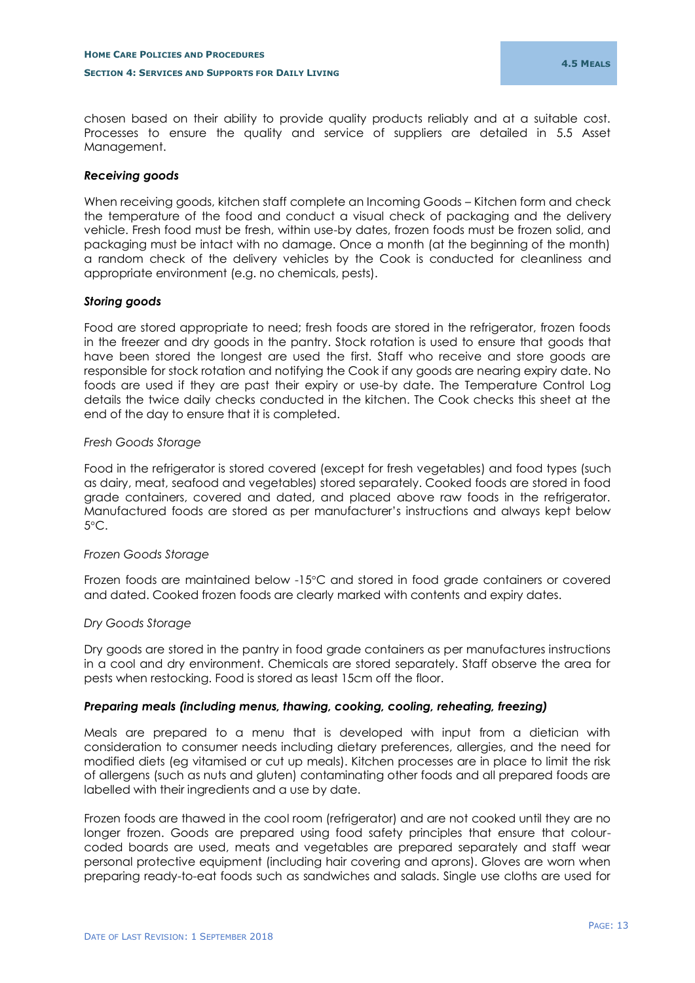chosen based on their ability to provide quality products reliably and at a suitable cost. Processes to ensure the quality and service of suppliers are detailed in 5.5 Asset Management.

## *Receiving goods*

When receiving goods, kitchen staff complete an Incoming Goods – Kitchen form and check the temperature of the food and conduct a visual check of packaging and the delivery vehicle. Fresh food must be fresh, within use-by dates, frozen foods must be frozen solid, and packaging must be intact with no damage. Once a month (at the beginning of the month) a random check of the delivery vehicles by the Cook is conducted for cleanliness and appropriate environment (e.g. no chemicals, pests).

## *Storing goods*

Food are stored appropriate to need; fresh foods are stored in the refrigerator, frozen foods in the freezer and dry goods in the pantry. Stock rotation is used to ensure that goods that have been stored the longest are used the first. Staff who receive and store goods are responsible for stock rotation and notifying the Cook if any goods are nearing expiry date. No foods are used if they are past their expiry or use-by date. The Temperature Control Log details the twice daily checks conducted in the kitchen. The Cook checks this sheet at the end of the day to ensure that it is completed.

## *Fresh Goods Storage*

Food in the refrigerator is stored covered (except for fresh vegetables) and food types (such as dairy, meat, seafood and vegetables) stored separately. Cooked foods are stored in food grade containers, covered and dated, and placed above raw foods in the refrigerator. Manufactured foods are stored as per manufacturer's instructions and always kept below  $5^{\circ}$ C.

## *Frozen Goods Storage*

Frozen foods are maintained below -15°C and stored in food grade containers or covered and dated. Cooked frozen foods are clearly marked with contents and expiry dates.

## *Dry Goods Storage*

Dry goods are stored in the pantry in food grade containers as per manufactures instructions in a cool and dry environment. Chemicals are stored separately. Staff observe the area for pests when restocking. Food is stored as least 15cm off the floor.

## *Preparing meals (including menus, thawing, cooking, cooling, reheating, freezing)*

Meals are prepared to a menu that is developed with input from a dietician with consideration to consumer needs including dietary preferences, allergies, and the need for modified diets (eg vitamised or cut up meals). Kitchen processes are in place to limit the risk of allergens (such as nuts and gluten) contaminating other foods and all prepared foods are labelled with their ingredients and a use by date.

Frozen foods are thawed in the cool room (refrigerator) and are not cooked until they are no longer frozen. Goods are prepared using food safety principles that ensure that colourcoded boards are used, meats and vegetables are prepared separately and staff wear personal protective equipment (including hair covering and aprons). Gloves are worn when preparing ready-to-eat foods such as sandwiches and salads. Single use cloths are used for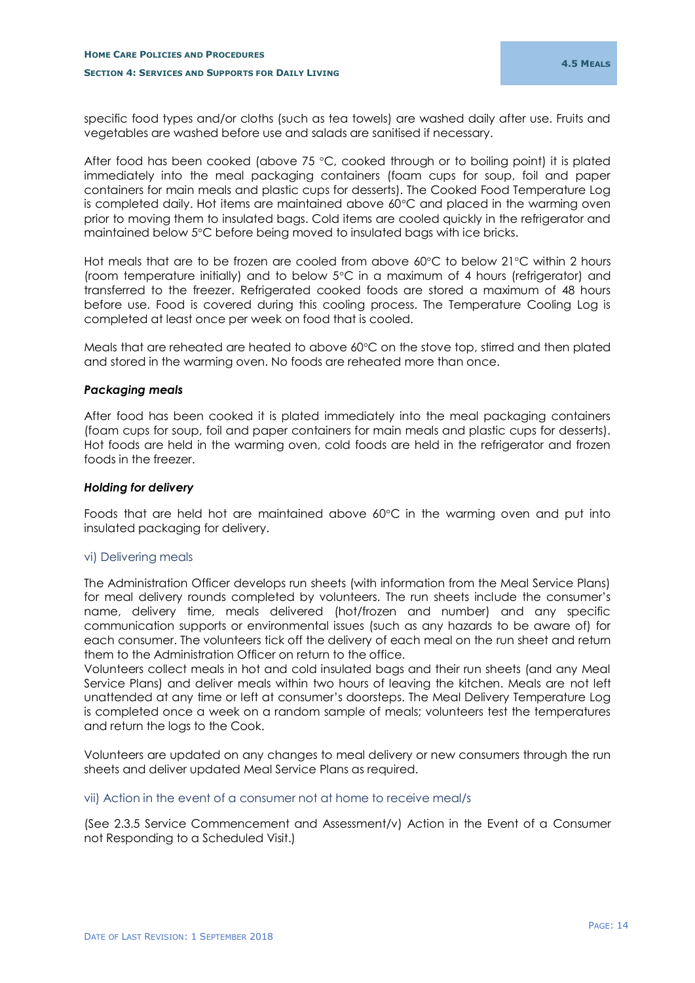specific food types and/or cloths (such as tea towels) are washed daily after use. Fruits and vegetables are washed before use and salads are sanitised if necessary.

After food has been cooked (above  $75 \degree C$ , cooked through or to boiling point) it is plated immediately into the meal packaging containers (foam cups for soup, foil and paper containers for main meals and plastic cups for desserts). The Cooked Food Temperature Log is completed daily. Hot items are maintained above  $60^{\circ}$ C and placed in the warming oven prior to moving them to insulated bags. Cold items are cooled quickly in the refrigerator and maintained below 5C before being moved to insulated bags with ice bricks.

Hot meals that are to be frozen are cooled from above  $60^{\circ}$ C to below  $21^{\circ}$ C within 2 hours (room temperature initially) and to below  $5^{\circ}$ C in a maximum of 4 hours (refrigerator) and transferred to the freezer. Refrigerated cooked foods are stored a maximum of 48 hours before use. Food is covered during this cooling process. The Temperature Cooling Log is completed at least once per week on food that is cooled.

Meals that are reheated are heated to above 60°C on the stove top, stirred and then plated and stored in the warming oven. No foods are reheated more than once.

## *Packaging meals*

After food has been cooked it is plated immediately into the meal packaging containers (foam cups for soup, foil and paper containers for main meals and plastic cups for desserts). Hot foods are held in the warming oven, cold foods are held in the refrigerator and frozen foods in the freezer.

### *Holding for delivery*

Foods that are held hot are maintained above 60°C in the warming oven and put into insulated packaging for delivery.

## <span id="page-15-0"></span>vi) Delivering meals

The Administration Officer develops run sheets (with information from the Meal Service Plans) for meal delivery rounds completed by volunteers. The run sheets include the consumer's name, delivery time, meals delivered (hot/frozen and number) and any specific communication supports or environmental issues (such as any hazards to be aware of) for each consumer. The volunteers tick off the delivery of each meal on the run sheet and return them to the Administration Officer on return to the office.

Volunteers collect meals in hot and cold insulated bags and their run sheets (and any Meal Service Plans) and deliver meals within two hours of leaving the kitchen. Meals are not left unattended at any time or left at consumer's doorsteps. The Meal Delivery Temperature Log is completed once a week on a random sample of meals; volunteers test the temperatures and return the logs to the Cook.

Volunteers are updated on any changes to meal delivery or new consumers through the run sheets and deliver updated Meal Service Plans as required.

## <span id="page-15-1"></span>vii) Action in the event of a consumer not at home to receive meal/s

(See 2.3.5 Service Commencement and Assessment/v) Action in the Event of a Consumer not Responding to a Scheduled Visit.)